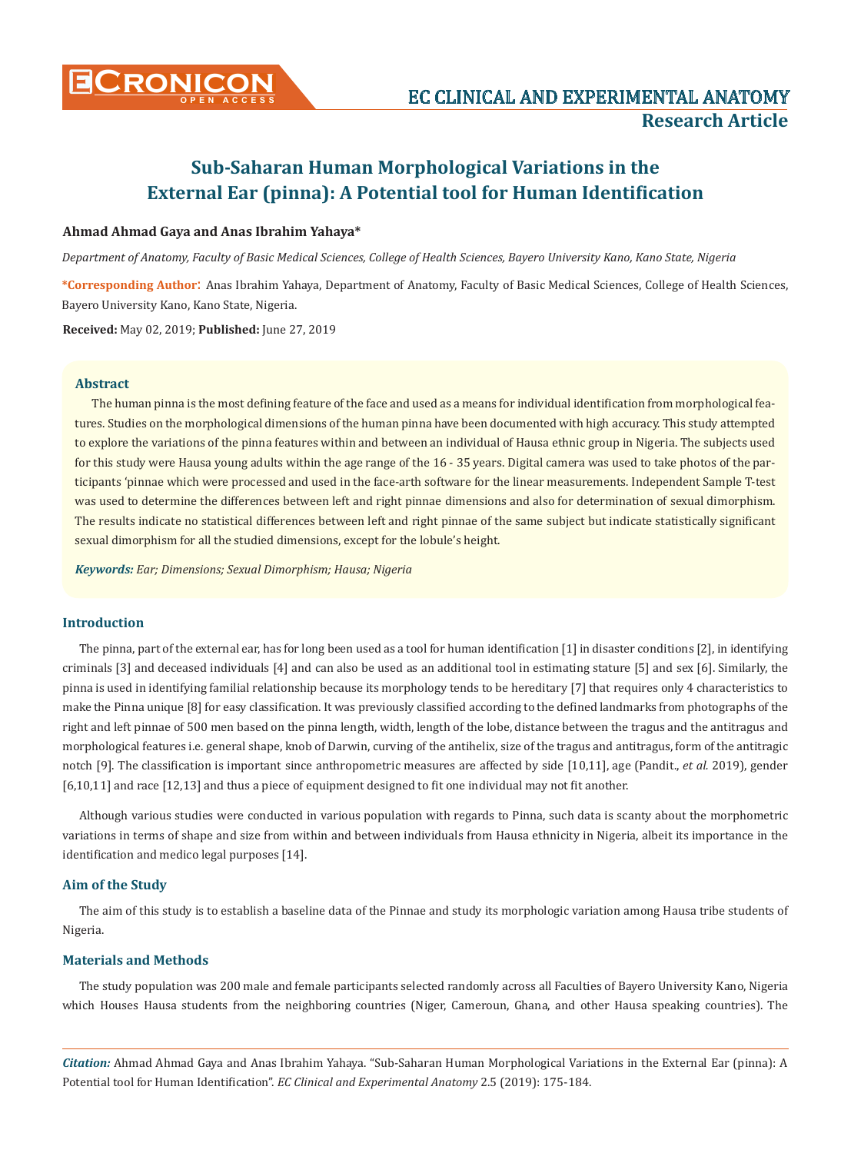

# **Sub-Saharan Human Morphological Variations in the External Ear (pinna): A Potential tool for Human Identification**

## **Ahmad Ahmad Gaya and Anas Ibrahim Yahaya\***

*Department of Anatomy, Faculty of Basic Medical Sciences, College of Health Sciences, Bayero University Kano, Kano State, Nigeria*

**\*Corresponding Author**: Anas Ibrahim Yahaya, Department of Anatomy, Faculty of Basic Medical Sciences, College of Health Sciences, Bayero University Kano, Kano State, Nigeria.

**Received:** May 02, 2019; **Published:** June 27, 2019

#### **Abstract**

The human pinna is the most defining feature of the face and used as a means for individual identification from morphological features. Studies on the morphological dimensions of the human pinna have been documented with high accuracy. This study attempted to explore the variations of the pinna features within and between an individual of Hausa ethnic group in Nigeria. The subjects used for this study were Hausa young adults within the age range of the 16 - 35 years. Digital camera was used to take photos of the participants 'pinnae which were processed and used in the face-arth software for the linear measurements. Independent Sample T-test was used to determine the differences between left and right pinnae dimensions and also for determination of sexual dimorphism. The results indicate no statistical differences between left and right pinnae of the same subject but indicate statistically significant sexual dimorphism for all the studied dimensions, except for the lobule's height.

*Keywords: Ear; Dimensions; Sexual Dimorphism; Hausa; Nigeria*

## **Introduction**

The pinna, part of the external ear, has for long been used as a tool for human identification [1] in disaster conditions [2], in identifying criminals [3] and deceased individuals [4] and can also be used as an additional tool in estimating stature [5] and sex [6]. Similarly, the pinna is used in identifying familial relationship because its morphology tends to be hereditary [7] that requires only 4 characteristics to make the Pinna unique [8] for easy classification. It was previously classified according to the defined landmarks from photographs of the right and left pinnae of 500 men based on the pinna length, width, length of the lobe, distance between the tragus and the antitragus and morphological features i.e. general shape, knob of Darwin, curving of the antihelix, size of the tragus and antitragus, form of the antitragic notch [9]. The classification is important since anthropometric measures are affected by side [10,11], age (Pandit., *et al.* 2019), gender [6,10,11] and race [12,13] and thus a piece of equipment designed to fit one individual may not fit another.

Although various studies were conducted in various population with regards to Pinna, such data is scanty about the morphometric variations in terms of shape and size from within and between individuals from Hausa ethnicity in Nigeria, albeit its importance in the identification and medico legal purposes [14].

#### **Aim of the Study**

The aim of this study is to establish a baseline data of the Pinnae and study its morphologic variation among Hausa tribe students of Nigeria.

### **Materials and Methods**

The study population was 200 male and female participants selected randomly across all Faculties of Bayero University Kano, Nigeria which Houses Hausa students from the neighboring countries (Niger, Cameroun, Ghana, and other Hausa speaking countries). The

*Citation:* Ahmad Ahmad Gaya and Anas Ibrahim Yahaya. "Sub-Saharan Human Morphological Variations in the External Ear (pinna): A Potential tool for Human Identification". *EC Clinical and Experimental Anatomy* 2.5 (2019): 175-184.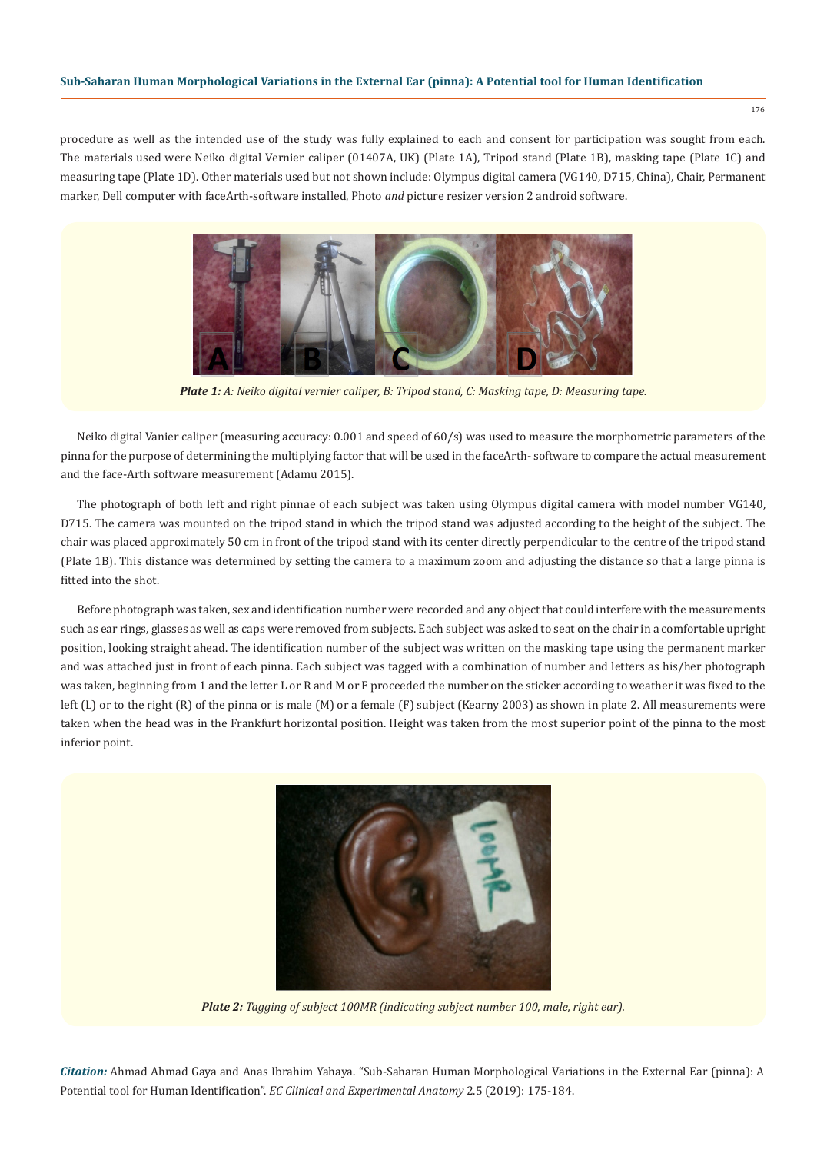176

procedure as well as the intended use of the study was fully explained to each and consent for participation was sought from each. The materials used were Neiko digital Vernier caliper (01407A, UK) (Plate 1A), Tripod stand (Plate 1B), masking tape (Plate 1C) and measuring tape (Plate 1D). Other materials used but not shown include: Olympus digital camera (VG140, D715, China), Chair, Permanent marker, Dell computer with faceArth-software installed, Photo *and* picture resizer version 2 android software.



*Plate 1: A: Neiko digital vernier caliper, B: Tripod stand, C: Masking tape, D: Measuring tape.*

Neiko digital Vanier caliper (measuring accuracy: 0.001 and speed of 60/s) was used to measure the morphometric parameters of the pinna for the purpose of determining the multiplying factor that will be used in the faceArth- software to compare the actual measurement and the face-Arth software measurement (Adamu 2015).

The photograph of both left and right pinnae of each subject was taken using Olympus digital camera with model number VG140, D715. The camera was mounted on the tripod stand in which the tripod stand was adjusted according to the height of the subject. The chair was placed approximately 50 cm in front of the tripod stand with its center directly perpendicular to the centre of the tripod stand (Plate 1B). This distance was determined by setting the camera to a maximum zoom and adjusting the distance so that a large pinna is fitted into the shot.

Before photograph was taken, sex and identification number were recorded and any object that could interfere with the measurements such as ear rings, glasses as well as caps were removed from subjects. Each subject was asked to seat on the chair in a comfortable upright position, looking straight ahead. The identification number of the subject was written on the masking tape using the permanent marker and was attached just in front of each pinna. Each subject was tagged with a combination of number and letters as his/her photograph was taken, beginning from 1 and the letter L or R and M or F proceeded the number on the sticker according to weather it was fixed to the left (L) or to the right (R) of the pinna or is male (M) or a female (F) subject (Kearny 2003) as shown in plate 2. All measurements were taken when the head was in the Frankfurt horizontal position. Height was taken from the most superior point of the pinna to the most inferior point.



*Plate 2: Tagging of subject 100MR (indicating subject number 100, male, right ear).* 

*Citation:* Ahmad Ahmad Gaya and Anas Ibrahim Yahaya. "Sub-Saharan Human Morphological Variations in the External Ear (pinna): A Potential tool for Human Identification". *EC Clinical and Experimental Anatomy* 2.5 (2019): 175-184.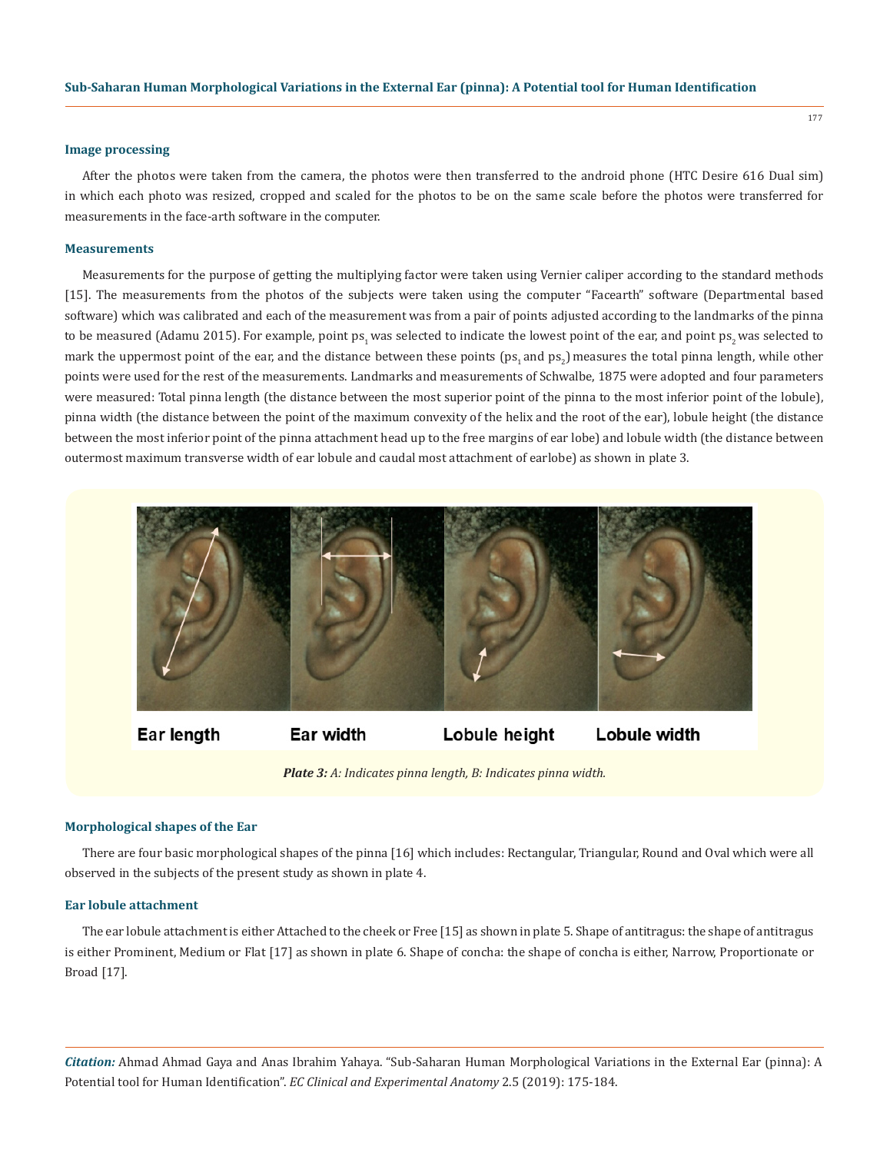#### **Image processing**

After the photos were taken from the camera, the photos were then transferred to the android phone (HTC Desire 616 Dual sim) in which each photo was resized, cropped and scaled for the photos to be on the same scale before the photos were transferred for measurements in the face-arth software in the computer.

#### **Measurements**

Measurements for the purpose of getting the multiplying factor were taken using Vernier caliper according to the standard methods [15]. The measurements from the photos of the subjects were taken using the computer "Facearth" software (Departmental based software) which was calibrated and each of the measurement was from a pair of points adjusted according to the landmarks of the pinna to be measured (Adamu 2015). For example, point ps<sub>1</sub> was selected to indicate the lowest point of the ear, and point ps<sub>2</sub> was selected to mark the uppermost point of the ear, and the distance between these points ( $ps_1$  and  $ps_2$ ) measures the total pinna length, while other points were used for the rest of the measurements. Landmarks and measurements of Schwalbe, 1875 were adopted and four parameters were measured: Total pinna length (the distance between the most superior point of the pinna to the most inferior point of the lobule), pinna width (the distance between the point of the maximum convexity of the helix and the root of the ear), lobule height (the distance between the most inferior point of the pinna attachment head up to the free margins of ear lobe) and lobule width (the distance between outermost maximum transverse width of ear lobule and caudal most attachment of earlobe) as shown in plate 3.



Ear length

Ear width

Lobule height

Lobule width

 *Plate 3: A: Indicates pinna length, B: Indicates pinna width.*

#### **Morphological shapes of the Ear**

There are four basic morphological shapes of the pinna [16] which includes: Rectangular, Triangular, Round and Oval which were all observed in the subjects of the present study as shown in plate 4.

## **Ear lobule attachment**

The ear lobule attachment is either Attached to the cheek or Free [15] as shown in plate 5. Shape of antitragus: the shape of antitragus is either Prominent, Medium or Flat [17] as shown in plate 6. Shape of concha: the shape of concha is either, Narrow, Proportionate or Broad [17].

*Citation:* Ahmad Ahmad Gaya and Anas Ibrahim Yahaya. "Sub-Saharan Human Morphological Variations in the External Ear (pinna): A Potential tool for Human Identification". *EC Clinical and Experimental Anatomy* 2.5 (2019): 175-184.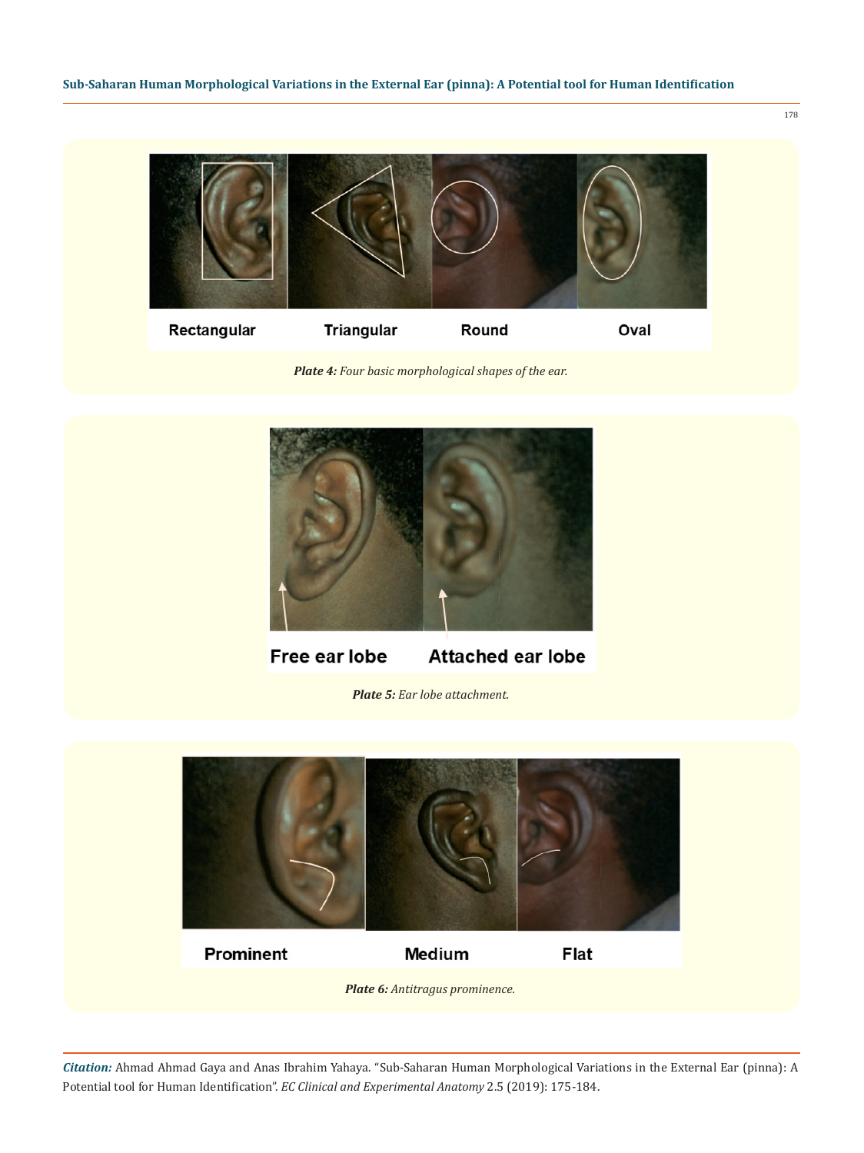

 *Plate 4: Four basic morphological shapes of the ear.*



Free ear lobe **Attached ear lobe** 

*Plate 5: Ear lobe attachment.*



*Citation:* Ahmad Ahmad Gaya and Anas Ibrahim Yahaya. "Sub-Saharan Human Morphological Variations in the External Ear (pinna): A Potential tool for Human Identification". *EC Clinical and Experimental Anatomy* 2.5 (2019): 175-184.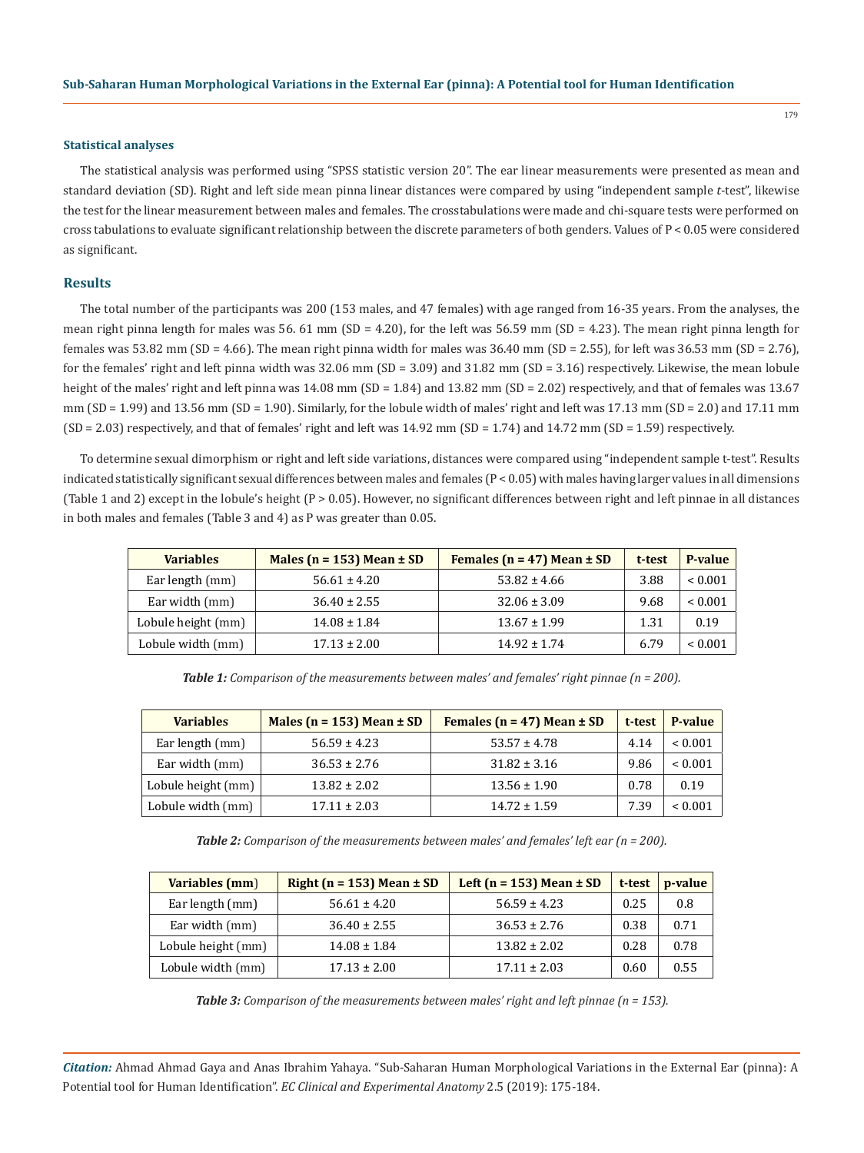#### **Statistical analyses**

The statistical analysis was performed using "SPSS statistic version 20". The ear linear measurements were presented as mean and standard deviation (SD). Right and left side mean pinna linear distances were compared by using "independent sample *t*-test", likewise the test for the linear measurement between males and females. The crosstabulations were made and chi-square tests were performed on cross tabulations to evaluate significant relationship between the discrete parameters of both genders. Values of P < 0.05 were considered as significant.

#### **Results**

The total number of the participants was 200 (153 males, and 47 females) with age ranged from 16-35 years. From the analyses, the mean right pinna length for males was 56. 61 mm (SD = 4.20), for the left was 56.59 mm (SD = 4.23). The mean right pinna length for females was 53.82 mm (SD = 4.66). The mean right pinna width for males was 36.40 mm (SD = 2.55), for left was 36.53 mm (SD = 2.76), for the females' right and left pinna width was 32.06 mm (SD = 3.09) and 31.82 mm (SD = 3.16) respectively. Likewise, the mean lobule height of the males' right and left pinna was 14.08 mm (SD = 1.84) and 13.82 mm (SD = 2.02) respectively, and that of females was 13.67 mm (SD = 1.99) and 13.56 mm (SD = 1.90). Similarly, for the lobule width of males' right and left was 17.13 mm (SD = 2.0) and 17.11 mm (SD = 2.03) respectively, and that of females' right and left was 14.92 mm (SD = 1.74) and 14.72 mm (SD = 1.59) respectively.

To determine sexual dimorphism or right and left side variations, distances were compared using "independent sample t-test". Results indicated statistically significant sexual differences between males and females (P < 0.05) with males having larger values in all dimensions (Table 1 and 2) except in the lobule's height (P > 0.05). However, no significant differences between right and left pinnae in all distances in both males and females (Table 3 and 4) as P was greater than 0.05.

| <b>Variables</b>   | Males ( $n = 153$ ) Mean $\pm SD$ | Females ( $n = 47$ ) Mean $\pm$ SD | t-test | P-value      |
|--------------------|-----------------------------------|------------------------------------|--------|--------------|
| Ear length (mm)    | $56.61 \pm 4.20$                  | $53.82 \pm 4.66$                   | 3.88   | ${}_{0.001}$ |
| Ear width (mm)     | $36.40 \pm 2.55$                  | $32.06 \pm 3.09$                   | 9.68   | ${}< 0.001$  |
| Lobule height (mm) | $14.08 \pm 1.84$                  | $13.67 \pm 1.99$                   | 1.31   | 0.19         |
| Lobule width (mm)  | $17.13 \pm 2.00$                  | $14.92 \pm 1.74$                   | 6.79   | ${}_{0.001}$ |

*Table 1: Comparison of the measurements between males' and females' right pinnae (n = 200).*

| <b>Variables</b>   | Males ( $n = 153$ ) Mean $\pm$ SD | Females ( $n = 47$ ) Mean $\pm$ SD | t-test | <b>P-value</b> |
|--------------------|-----------------------------------|------------------------------------|--------|----------------|
| Ear length (mm)    | $56.59 \pm 4.23$                  | $53.57 \pm 4.78$                   | 4.14   | ${}< 0.001$    |
| Ear width (mm)     | $36.53 \pm 2.76$                  | $31.82 \pm 3.16$                   | 9.86   | ${}_{0.001}$   |
| Lobule height (mm) | $13.82 \pm 2.02$                  | $13.56 \pm 1.90$                   | 0.78   | 0.19           |
| Lobule width (mm)  | $17.11 \pm 2.03$                  | $14.72 \pm 1.59$                   | 7.39   | ${}_{0.001}$   |

*Table 2: Comparison of the measurements between males' and females' left ear (n = 200).*

| Variables (mm)     | Right ( $n = 153$ ) Mean $\pm SD$ | Left ( $n = 153$ ) Mean $\pm$ SD | t-test | $p-value$ |
|--------------------|-----------------------------------|----------------------------------|--------|-----------|
| Ear length (mm)    | $56.61 \pm 4.20$                  | $56.59 \pm 4.23$                 | 0.25   | 0.8       |
| Ear width (mm)     | $36.40 \pm 2.55$                  | $36.53 \pm 2.76$                 | 0.38   | 0.71      |
| Lobule height (mm) | $14.08 \pm 1.84$                  | $13.82 \pm 2.02$                 | 0.28   | 0.78      |
| Lobule width (mm)  | $17.13 \pm 2.00$                  | $17.11 \pm 2.03$                 | 0.60   | 0.55      |

*Table 3: Comparison of the measurements between males' right and left pinnae (n = 153).*

*Citation:* Ahmad Ahmad Gaya and Anas Ibrahim Yahaya. "Sub-Saharan Human Morphological Variations in the External Ear (pinna): A Potential tool for Human Identification". *EC Clinical and Experimental Anatomy* 2.5 (2019): 175-184.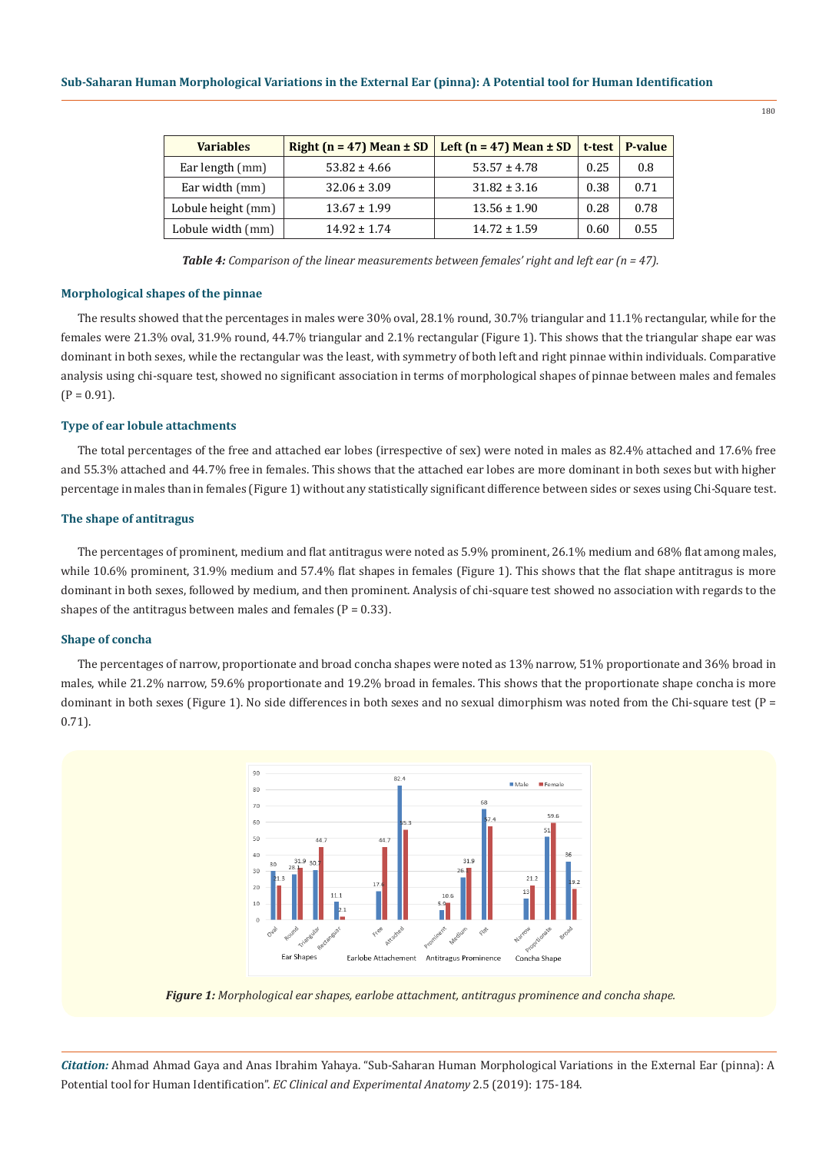| <b>Variables</b>   | Right ( $n = 47$ ) Mean $\pm$ SD | Left ( $n = 47$ ) Mean $\pm$ SD | t-test | P-value |
|--------------------|----------------------------------|---------------------------------|--------|---------|
| Ear length (mm)    | $53.82 \pm 4.66$                 | $53.57 \pm 4.78$                | 0.25   | 0.8     |
| Ear width (mm)     | $32.06 \pm 3.09$                 | $31.82 \pm 3.16$                | 0.38   | 0.71    |
| Lobule height (mm) | $13.67 \pm 1.99$                 | $13.56 \pm 1.90$                | 0.28   | 0.78    |
| Lobule width (mm)  | $14.92 + 1.74$                   | $14.72 \pm 1.59$                | 0.60   | 0.55    |

*Table 4: Comparison of the linear measurements between females' right and left ear (n = 47).*

#### **Morphological shapes of the pinnae**

The results showed that the percentages in males were 30% oval, 28.1% round, 30.7% triangular and 11.1% rectangular, while for the females were 21.3% oval, 31.9% round, 44.7% triangular and 2.1% rectangular (Figure 1). This shows that the triangular shape ear was dominant in both sexes, while the rectangular was the least, with symmetry of both left and right pinnae within individuals. Comparative analysis using chi-square test, showed no significant association in terms of morphological shapes of pinnae between males and females  $(P = 0.91)$ .

#### **Type of ear lobule attachments**

The total percentages of the free and attached ear lobes (irrespective of sex) were noted in males as 82.4% attached and 17.6% free and 55.3% attached and 44.7% free in females. This shows that the attached ear lobes are more dominant in both sexes but with higher percentage in males than in females (Figure 1) without any statistically significant difference between sides or sexes using Chi-Square test.

# **The shape of antitragus**

The percentages of prominent, medium and flat antitragus were noted as 5.9% prominent, 26.1% medium and 68% flat among males, while 10.6% prominent, 31.9% medium and 57.4% flat shapes in females (Figure 1). This shows that the flat shape antitragus is more dominant in both sexes, followed by medium, and then prominent. Analysis of chi-square test showed no association with regards to the shapes of the antitragus between males and females ( $P = 0.33$ ).

#### **Shape of concha**

The percentages of narrow, proportionate and broad concha shapes were noted as 13% narrow, 51% proportionate and 36% broad in males, while 21.2% narrow, 59.6% proportionate and 19.2% broad in females. This shows that the proportionate shape concha is more dominant in both sexes (Figure 1). No side differences in both sexes and no sexual dimorphism was noted from the Chi-square test (P = 0.71).



*Figure 1: Morphological ear shapes, earlobe attachment, antitragus prominence and concha shape.*

*Citation:* Ahmad Ahmad Gaya and Anas Ibrahim Yahaya. "Sub-Saharan Human Morphological Variations in the External Ear (pinna): A Potential tool for Human Identification". *EC Clinical and Experimental Anatomy* 2.5 (2019): 175-184.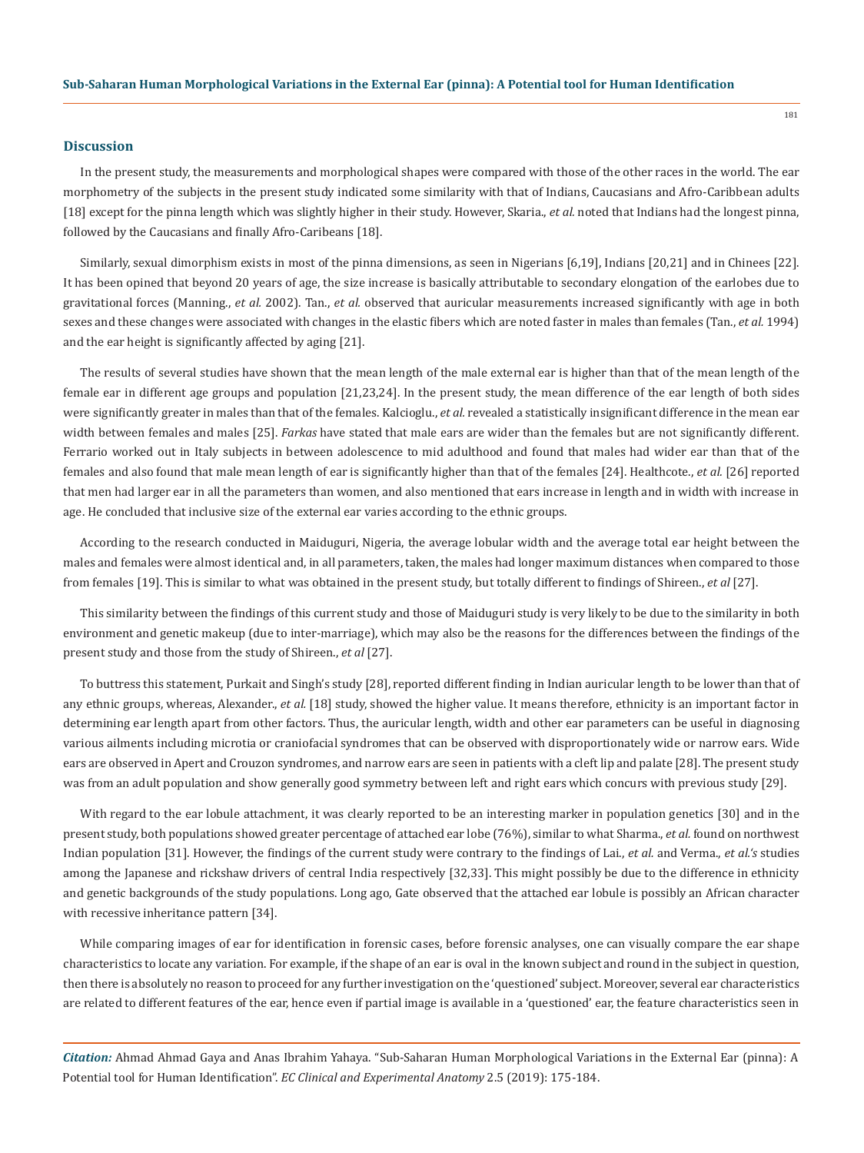#### **Discussion**

In the present study, the measurements and morphological shapes were compared with those of the other races in the world. The ear morphometry of the subjects in the present study indicated some similarity with that of Indians, Caucasians and Afro-Caribbean adults [18] except for the pinna length which was slightly higher in their study. However, Skaria., *et al.* noted that Indians had the longest pinna, followed by the Caucasians and finally Afro-Caribeans [18].

Similarly, sexual dimorphism exists in most of the pinna dimensions, as seen in Nigerians [6,19], Indians [20,21] and in Chinees [22]. It has been opined that beyond 20 years of age, the size increase is basically attributable to secondary elongation of the earlobes due to gravitational forces (Manning., *et al.* 2002). Tan., *et al.* observed that auricular measurements increased significantly with age in both sexes and these changes were associated with changes in the elastic fibers which are noted faster in males than females (Tan., *et al.* 1994) and the ear height is significantly affected by aging [21].

The results of several studies have shown that the mean length of the male external ear is higher than that of the mean length of the female ear in different age groups and population [21,23,24]. In the present study, the mean difference of the ear length of both sides were significantly greater in males than that of the females. Kalcioglu., *et al.* revealed a statistically insignificant difference in the mean ear width between females and males [25]. *Farkas* have stated that male ears are wider than the females but are not significantly different. Ferrario worked out in Italy subjects in between adolescence to mid adulthood and found that males had wider ear than that of the females and also found that male mean length of ear is significantly higher than that of the females [24]. Healthcote., *et al.* [26] reported that men had larger ear in all the parameters than women, and also mentioned that ears increase in length and in width with increase in age. He concluded that inclusive size of the external ear varies according to the ethnic groups.

According to the research conducted in Maiduguri, Nigeria, the average lobular width and the average total ear height between the males and females were almost identical and, in all parameters, taken, the males had longer maximum distances when compared to those from females [19]. This is similar to what was obtained in the present study, but totally different to findings of Shireen., *et al* [27].

This similarity between the findings of this current study and those of Maiduguri study is very likely to be due to the similarity in both environment and genetic makeup (due to inter-marriage), which may also be the reasons for the differences between the findings of the present study and those from the study of Shireen., *et al* [27].

To buttress this statement, Purkait and Singh's study [28], reported different finding in Indian auricular length to be lower than that of any ethnic groups, whereas, Alexander., *et al.* [18] study, showed the higher value. It means therefore, ethnicity is an important factor in determining ear length apart from other factors. Thus, the auricular length, width and other ear parameters can be useful in diagnosing various ailments including microtia or craniofacial syndromes that can be observed with disproportionately wide or narrow ears. Wide ears are observed in Apert and Crouzon syndromes, and narrow ears are seen in patients with a cleft lip and palate [28]. The present study was from an adult population and show generally good symmetry between left and right ears which concurs with previous study [29].

With regard to the ear lobule attachment, it was clearly reported to be an interesting marker in population genetics [30] and in the present study, both populations showed greater percentage of attached ear lobe (76%), similar to what Sharma., *et al.* found on northwest Indian population [31]. However, the findings of the current study were contrary to the findings of Lai., *et al.* and Verma., *et al.'s* studies among the Japanese and rickshaw drivers of central India respectively [32,33]. This might possibly be due to the difference in ethnicity and genetic backgrounds of the study populations. Long ago, Gate observed that the attached ear lobule is possibly an African character with recessive inheritance pattern [34].

While comparing images of ear for identification in forensic cases, before forensic analyses, one can visually compare the ear shape characteristics to locate any variation. For example, if the shape of an ear is oval in the known subject and round in the subject in question, then there is absolutely no reason to proceed for any further investigation on the 'questioned' subject. Moreover, several ear characteristics are related to different features of the ear, hence even if partial image is available in a 'questioned' ear, the feature characteristics seen in

*Citation:* Ahmad Ahmad Gaya and Anas Ibrahim Yahaya. "Sub-Saharan Human Morphological Variations in the External Ear (pinna): A Potential tool for Human Identification". *EC Clinical and Experimental Anatomy* 2.5 (2019): 175-184.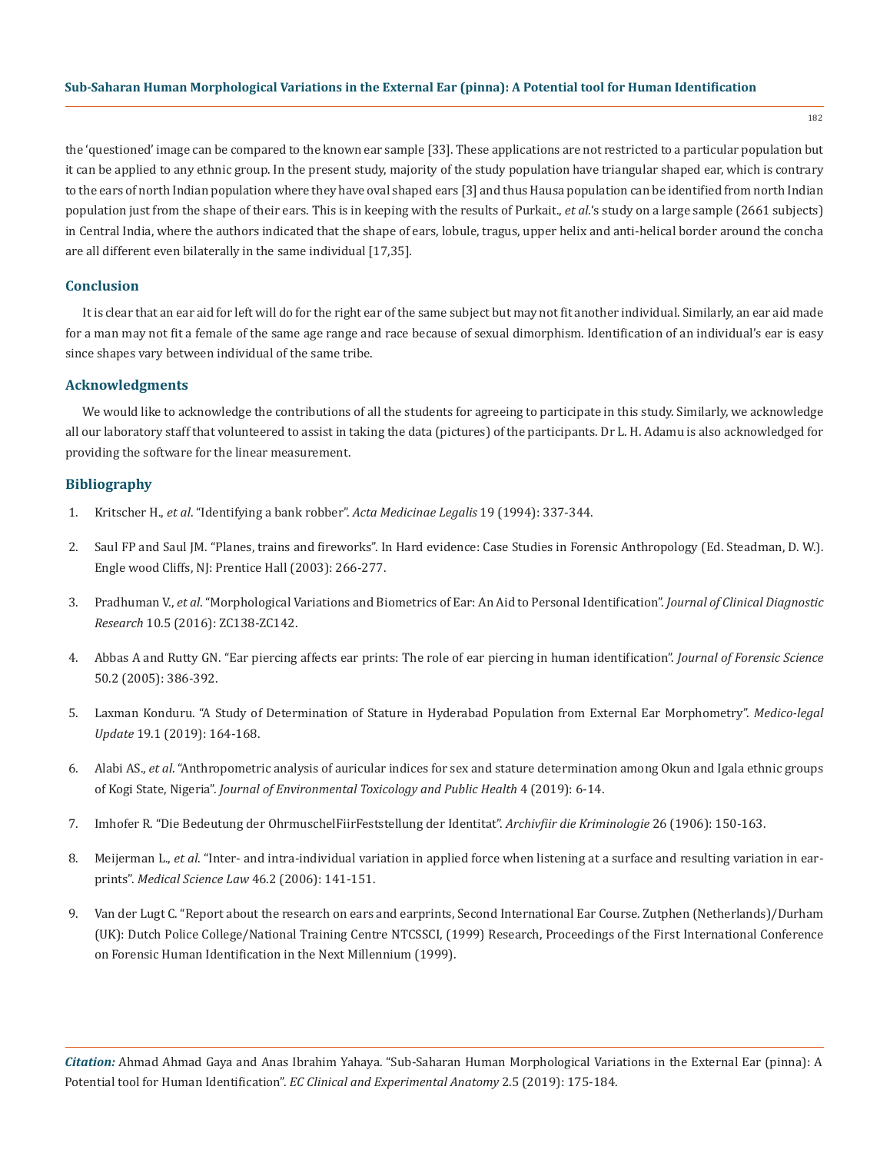the 'questioned' image can be compared to the known ear sample [33]. These applications are not restricted to a particular population but it can be applied to any ethnic group. In the present study, majority of the study population have triangular shaped ear, which is contrary to the ears of north Indian population where they have oval shaped ears [3] and thus Hausa population can be identified from north Indian population just from the shape of their ears. This is in keeping with the results of Purkait., *et al.*'s study on a large sample (2661 subjects) in Central India, where the authors indicated that the shape of ears, lobule, tragus, upper helix and anti-helical border around the concha are all different even bilaterally in the same individual [17,35]*.* 

#### **Conclusion**

It is clear that an ear aid for left will do for the right ear of the same subject but may not fit another individual. Similarly, an ear aid made for a man may not fit a female of the same age range and race because of sexual dimorphism. Identification of an individual's ear is easy since shapes vary between individual of the same tribe.

# **Acknowledgments**

We would like to acknowledge the contributions of all the students for agreeing to participate in this study. Similarly, we acknowledge all our laboratory staff that volunteered to assist in taking the data (pictures) of the participants. Dr L. H. Adamu is also acknowledged for providing the software for the linear measurement.

#### **Bibliography**

- 1. Kritscher H., *et al*. "Identifying a bank robber". *Acta Medicinae Legalis* 19 (1994): 337-344.
- 2. Saul FP and Saul JM. "Planes, trains and fireworks". In Hard evidence: Case Studies in Forensic Anthropology (Ed. Steadman, D. W.). Engle wood Cliffs, NJ: Prentice Hall (2003): 266-277.
- 3. Pradhuman V., *et al*[. "Morphological Variations and Biometrics of Ear: An Aid to Personal Identification".](https://www.ncbi.nlm.nih.gov/pubmed/27437349) *Journal of Clinical Diagnostic Research* [10.5 \(2016\): ZC138-ZC142.](https://www.ncbi.nlm.nih.gov/pubmed/27437349)
- 4. [Abbas A and Rutty GN. "Ear piercing affects ear prints: The role of ear piercing in human identification".](https://www.ncbi.nlm.nih.gov/pubmed/15813550) *Journal of Forensic Science*  [50.2 \(2005\): 386-392.](https://www.ncbi.nlm.nih.gov/pubmed/15813550)
- 5. [Laxman Konduru. "A Study of Determination of Stature in Hyderabad Population from External Ear Morphometry".](http://www.indianjournals.com/ijor.aspx?target=ijor:mlu&volume=19&issue=1&article=034) *Medico-legal Update* [19.1 \(2019\): 164-168.](http://www.indianjournals.com/ijor.aspx?target=ijor:mlu&volume=19&issue=1&article=034)
- 6. Alabi AS., *et al*[. "Anthropometric analysis of auricular indices for sex and stature determination among Okun and Igala ethnic groups](https://zenodo.org/record/2561990)  of Kogi State, Nigeria". *[Journal of Environmental Toxicology and Public Health](https://zenodo.org/record/2561990)* 4 (2019): 6-14.
- 7. Imhofer R. "Die Bedeutung der OhrmuschelFiirFeststellung der Identitat". *Archivfiir die Kriminologie* 26 (1906): 150-163.
- 8. Meijerman L., *et al*[. "Inter- and intra-individual variation in applied force when listening at a surface and resulting variation in ear](https://www.ncbi.nlm.nih.gov/pubmed/16683469)prints". *[Medical Science Law](https://www.ncbi.nlm.nih.gov/pubmed/16683469)* 46.2 (2006): 141-151.
- 9. Van der Lugt C. "Report about the research on ears and earprints, Second International Ear Course. Zutphen (Netherlands)/Durham (UK): Dutch Police College/National Training Centre NTCSSCI, (1999) Research, Proceedings of the First International Conference on Forensic Human Identification in the Next Millennium (1999).

*Citation:* Ahmad Ahmad Gaya and Anas Ibrahim Yahaya. "Sub-Saharan Human Morphological Variations in the External Ear (pinna): A Potential tool for Human Identification". *EC Clinical and Experimental Anatomy* 2.5 (2019): 175-184.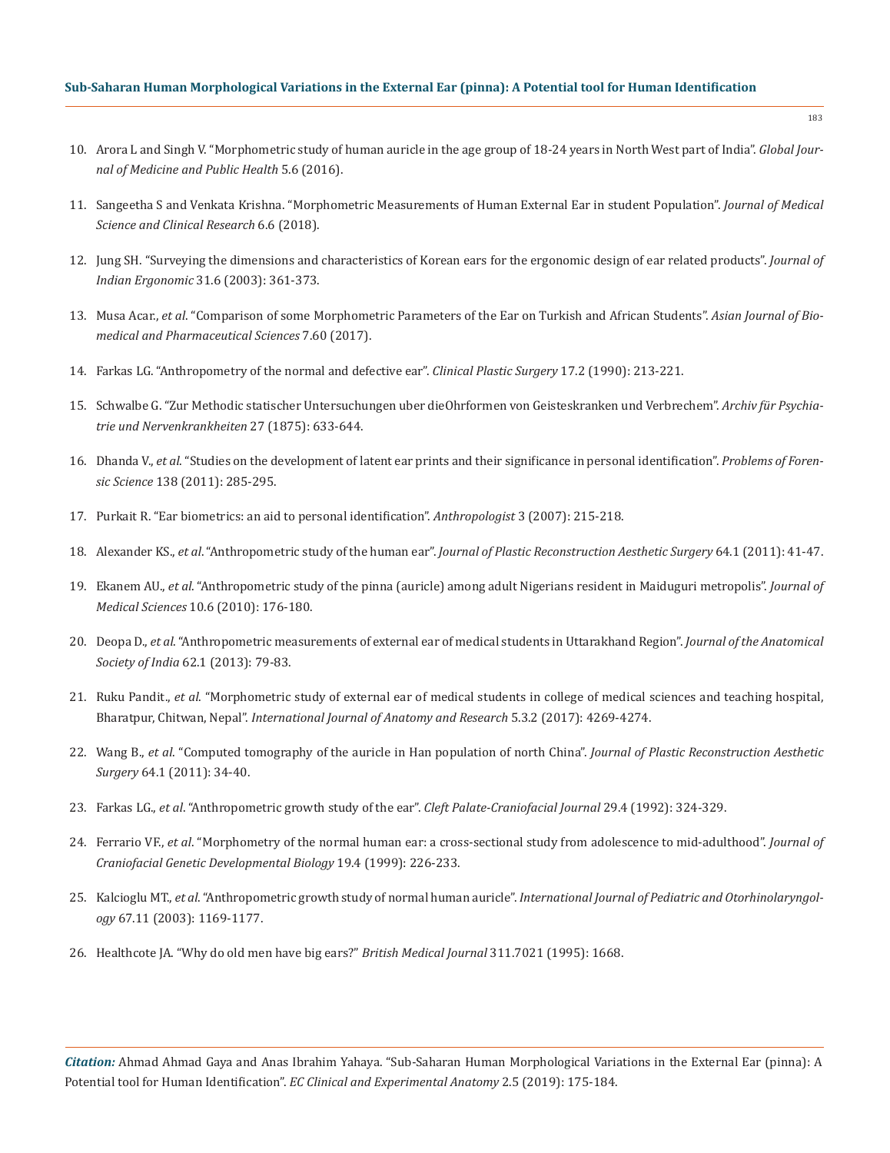#### **Sub-Saharan Human Morphological Variations in the External Ear (pinna): A Potential tool for Human Identification**

- 10. [Arora L and Singh V. "Morphometric study of human auricle in the age group of 18-24 years in North West part of India".](http://www.gjmedph.com/uploads/O3-Vo5No6.pdf) *Global Jour[nal of Medicine and Public Health](http://www.gjmedph.com/uploads/O3-Vo5No6.pdf)* 5.6 (2016).
- 11. [Sangeetha S and Venkata Krishna. "Morphometric Measurements of Human External Ear in student Population".](http://jmscr.igmpublication.org/home/index.php/current-issue/5210-morphometric-measurements-of-human-external-ear-in-student-population) *Journal of Medical [Science and Clinical Research](http://jmscr.igmpublication.org/home/index.php/current-issue/5210-morphometric-measurements-of-human-external-ear-in-student-population)* 6.6 (2018).
- 12. [Jung SH. "Surveying the dimensions and characteristics of Korean ears for the ergonomic design of ear related products".](https://www.sciencedirect.com/science/article/abs/pii/S0169814102002378) *Journal of Indian Ergonomic* [31.6 \(2003\): 361-373.](https://www.sciencedirect.com/science/article/abs/pii/S0169814102002378)
- 13. Musa Acar., *et al*[. "Comparison of some Morphometric Parameters of the Ear on Turkish and African Students".](http://www.alliedacademies.org/articles/comparison-of-some-morphometric-parameters-of-the-ear-on-turkish-and-african-students.html) *Asian Journal of Bio[medical and Pharmaceutical Sciences](http://www.alliedacademies.org/articles/comparison-of-some-morphometric-parameters-of-the-ear-on-turkish-and-african-students.html)* 7.60 (2017).
- 14. [Farkas LG. "Anthropometry of the normal and defective ear".](https://www.ncbi.nlm.nih.gov/pubmed/2189638) *Clinical Plastic Surgery* 17.2 (1990): 213-221.
- 15. Schwalbe G. "Zur Methodic statischer Untersuchungen uber dieOhrformen von Geisteskranken und Verbrechem". *Archiv für Psychiatrie und Nervenkrankheiten* 27 (1875): 633-644.
- 16. Dhanda V., *et al*[. "Studies on the development of latent ear prints and their significance in personal identification".](http://www.forensicscience.pl/pfs/88_Garg.pdf) *Problems of Forensic Science* [138 \(2011\): 285-295.](http://www.forensicscience.pl/pfs/88_Garg.pdf)
- 17. [Purkait R. "Ear biometrics: an aid to personal identification".](https://pdfs.semanticscholar.org/a9dc/d74b156243340c352be004b0adfbebdc112a.pdf?_ga=2.21064955.1943733721.1561091987-1355515481.1561091987) *Anthropologist* 3 (2007): 215-218.
- 18. Alexander KS., *et al*. "Anthropometric study of the human ear". *[Journal of Plastic Reconstruction Aesthetic Surgery](https://www.ncbi.nlm.nih.gov/pubmed/20447883)* 64.1 (2011): 41-47.
- 19. Ekanem AU., *et al*[. "Anthropometric study of the pinna \(auricle\) among adult Nigerians resident in Maiduguri metropolis".](https://scialert.net/fulltextmobile/?doi=jms.2010.176.180) *Journal of Medical Sciences* [10.6 \(2010\): 176-180.](https://scialert.net/fulltextmobile/?doi=jms.2010.176.180)
- 20. Deopa D., *et al*[. "Anthropometric measurements of external ear of medical students in Uttarakhand Region".](https://www.sciencedirect.com/science/article/pii/S0003277813800184) *Journal of the Anatomical Society of India* [62.1 \(2013\): 79-83.](https://www.sciencedirect.com/science/article/pii/S0003277813800184)
- 21. Ruku Pandit., *et al*[. "Morphometric study of external ear of medical students in college of medical sciences and teaching hospital,](https://pdfs.semanticscholar.org/db67/c44328eb6a720ce2a52ab2b564ef28c4bcb4.pdf)  Bharatpur, Chitwan, Nepal". *[International Journal of Anatomy and Research](https://pdfs.semanticscholar.org/db67/c44328eb6a720ce2a52ab2b564ef28c4bcb4.pdf)* 5.3.2 (2017): 4269-4274.
- 22. Wang B., *et al*[. "Computed tomography of the auricle in Han population of north China".](https://www.ncbi.nlm.nih.gov/pubmed/20451482) *Journal of Plastic Reconstruction Aesthetic Surgery* [64.1 \(2011\): 34-40.](https://www.ncbi.nlm.nih.gov/pubmed/20451482)
- 23. Farkas LG., *et al*[. "Anthropometric growth study of the ear".](https://www.ncbi.nlm.nih.gov/pubmed/1643061) *Cleft Palate-Craniofacial Journal* 29.4 (1992): 324-329.
- 24. Ferrario VF., *et al*[. "Morphometry of the normal human ear: a cross-sectional study from adolescence to mid-adulthood".](https://www.ncbi.nlm.nih.gov/pubmed/10731092) *Journal of [Craniofacial Genetic Developmental Biology](https://www.ncbi.nlm.nih.gov/pubmed/10731092)* 19.4 (1999): 226-233.
- 25. Kalcioglu MT., *et al*. "Anthropometric growth study of normal human auricle". *[International Journal of Pediatric and Otorhinolaryngol](https://www.ncbi.nlm.nih.gov/pubmed/14597366)ogy* [67.11 \(2003\): 1169-1177.](https://www.ncbi.nlm.nih.gov/pubmed/14597366)
- 26. [Healthcote JA. "Why do old men have big ears?"](https://www.ncbi.nlm.nih.gov/pmc/articles/PMC2539087/) *British Medical Journal* 311.7021 (1995): 1668.

*Citation:* Ahmad Ahmad Gaya and Anas Ibrahim Yahaya. "Sub-Saharan Human Morphological Variations in the External Ear (pinna): A Potential tool for Human Identification". *EC Clinical and Experimental Anatomy* 2.5 (2019): 175-184.